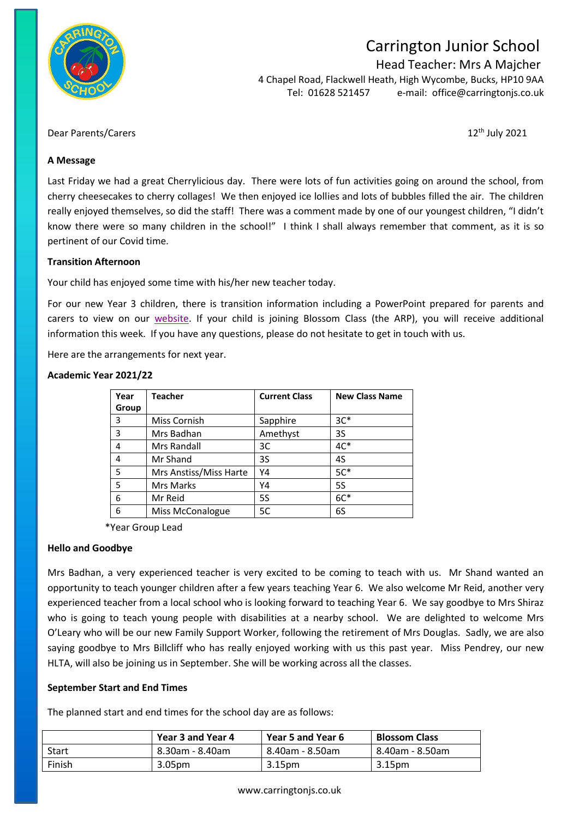

# Carrington Junior School

Head Teacher: Mrs A Majcher

4 Chapel Road, Flackwell Heath, High Wycombe, Bucks, HP10 9AA Tel: 01628 521457 e-mail: [office@carringtonjs.co.uk](mailto:office@carringtonjs.co.uk)

# Dear Parents/Carers 12<sup>th</sup> July 2021

### **A Message**

Last Friday we had a great Cherrylicious day. There were lots of fun activities going on around the school, from cherry cheesecakes to cherry collages! We then enjoyed ice lollies and lots of bubbles filled the air. The children really enjoyed themselves, so did the staff! There was a comment made by one of our youngest children, "I didn't know there were so many children in the school!" I think I shall always remember that comment, as it is so pertinent of our Covid time.

# **Transition Afternoon**

Your child has enjoyed some time with his/her new teacher today.

For our new Year 3 children, there is transition information including a PowerPoint prepared for parents and carers to view on our [website.](https://carrington.eschools.co.uk/web/information_for_new_parents_and_carers_september_2021_entry/519622) If your child is joining Blossom Class (the ARP), you will receive additional information this week. If you have any questions, please do not hesitate to get in touch with us.

Here are the arrangements for next year.

# **Academic Year 2021/22**

| Year  | Teacher                | <b>Current Class</b> | <b>New Class Name</b> |
|-------|------------------------|----------------------|-----------------------|
| Group |                        |                      |                       |
| 3     | Miss Cornish           | Sapphire             | $3C*$                 |
| 3     | Mrs Badhan             | Amethyst             | 3S                    |
| 4     | Mrs Randall            | 3C                   | $4C*$                 |
| 4     | Mr Shand               | 3S                   | 4S                    |
| 5     | Mrs Anstiss/Miss Harte | Y4                   | $5C*$                 |
| 5     | Mrs Marks              | Y4                   | <b>5S</b>             |
| 6     | Mr Reid                | <b>5S</b>            | $6C*$                 |
| 6     | Miss McConalogue       | 5C                   | 6S                    |

\*Year Group Lead

#### **Hello and Goodbye**

Mrs Badhan, a very experienced teacher is very excited to be coming to teach with us. Mr Shand wanted an opportunity to teach younger children after a few years teaching Year 6. We also welcome Mr Reid, another very experienced teacher from a local school who is looking forward to teaching Year 6. We say goodbye to Mrs Shiraz who is going to teach young people with disabilities at a nearby school. We are delighted to welcome Mrs O'Leary who will be our new Family Support Worker, following the retirement of Mrs Douglas. Sadly, we are also saying goodbye to Mrs Billcliff who has really enjoyed working with us this past year. Miss Pendrey, our new HLTA, will also be joining us in September. She will be working across all the classes.

#### **September Start and End Times**

The planned start and end times for the school day are as follows:

|        | Year 3 and Year 4 | Year 5 and Year 6 | <b>Blossom Class</b> |
|--------|-------------------|-------------------|----------------------|
| Start  | 8.30am - 8.40am   | 8.40am - 8.50am   | 8.40am - 8.50am      |
| Finish | 3.05pm            | 3.15pm            | 3.15pm               |